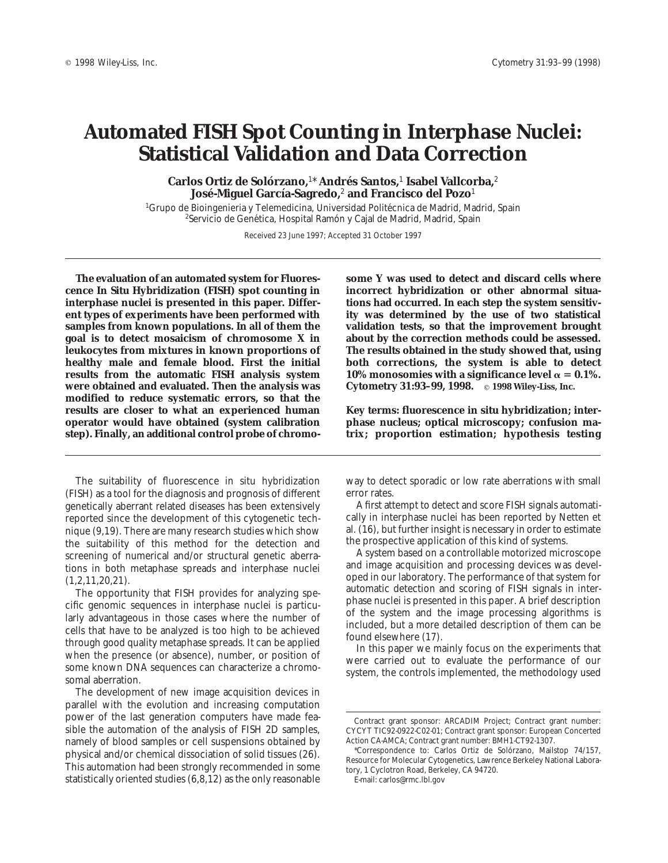# **Automated FISH Spot Counting in Interphase Nuclei: Statistical Validation and Data Correction**

**Carlos Ortiz de Solo´rzano,**1\* **Andre´s Santos,**<sup>1</sup> **Isabel Vallcorba,**<sup>2</sup> **Jose´-Miguel Garcı´a-Sagredo,**<sup>2</sup> **and Francisco del Pozo**<sup>1</sup>

<sup>1</sup>Grupo de Bioingenieria y Telemedicina, Universidad Politécnica de Madrid, Madrid, Spain <sup>2</sup>Servicio de Genética, Hospital Ramón y Cajal de Madrid, Madrid, Spain

Received 23 June 1997; Accepted 31 October 1997

**The evaluation of an automated system for Fluorescence In Situ Hybridization (FISH) spot counting in interphase nuclei is presented in this paper. Different types of experiments have been performed with samples from known populations. In all of them the goal is to detect mosaicism of chromosome X in leukocytes from mixtures in known proportions of healthy male and female blood. First the initial results from the automatic FISH analysis system were obtained and evaluated. Then the analysis was modified to reduce systematic errors, so that the results are closer to what an experienced human operator would have obtained (system calibration step). Finally, an additional control probe of chromo-**

The suitability of fluorescence in situ hybridization (FISH) as a tool for the diagnosis and prognosis of different genetically aberrant related diseases has been extensively reported since the development of this cytogenetic technique (9,19). There are many research studies which show the suitability of this method for the detection and screening of numerical and/or structural genetic aberrations in both metaphase spreads and interphase nuclei (1,2,11,20,21).

The opportunity that FISH provides for analyzing specific genomic sequences in interphase nuclei is particularly advantageous in those cases where the number of cells that have to be analyzed is too high to be achieved through good quality metaphase spreads. It can be applied when the presence (or absence), number, or position of some known DNA sequences can characterize a chromosomal aberration.

The development of new image acquisition devices in parallel with the evolution and increasing computation power of the last generation computers have made feasible the automation of the analysis of FISH 2D samples, namely of blood samples or cell suspensions obtained by physical and/or chemical dissociation of solid tissues (26). This automation had been strongly recommended in some statistically oriented studies (6,8,12) as the only reasonable

**some Y was used to detect and discard cells where incorrect hybridization or other abnormal situations had occurred. In each step the system sensitivity was determined by the use of two statistical validation tests, so that the improvement brought about by the correction methods could be assessed. The results obtained in the study showed that, using both corrections, the system is able to detect 10% monosomies with a significance level**  $\alpha = 0.1\%$ . **Cytometry 31:93-99, 1998.** © 1998 Wiley-Liss, Inc.

**Key terms: fluorescence in situ hybridization; interphase nucleus; optical microscopy; confusion matrix; proportion estimation; hypothesis testing**

way to detect sporadic or low rate aberrations with small error rates.

A first attempt to detect and score FISH signals automatically in interphase nuclei has been reported by Netten et al. (16), but further insight is necessary in order to estimate the prospective application of this kind of systems.

A system based on a controllable motorized microscope and image acquisition and processing devices was developed in our laboratory. The performance of that system for automatic detection and scoring of FISH signals in interphase nuclei is presented in this paper. A brief description of the system and the image processing algorithms is included, but a more detailed description of them can be found elsewhere (17).

In this paper we mainly focus on the experiments that were carried out to evaluate the performance of our system, the controls implemented, the methodology used

E-mail: carlos@rmc.lbl.gov

Contract grant sponsor: ARCADIM Project; Contract grant number: CYCYT TIC92-0922-C02-01; Contract grant sponsor: European Concerted Action CA-AMCA; Contract grant number: BMH1-CT92-1307.

<sup>\*</sup>Correspondence to: Carlos Ortiz de Solórzano, Mailstop 74/157, Resource for Molecular Cytogenetics, Lawrence Berkeley National Laboratory, 1 Cyclotron Road, Berkeley, CA 94720.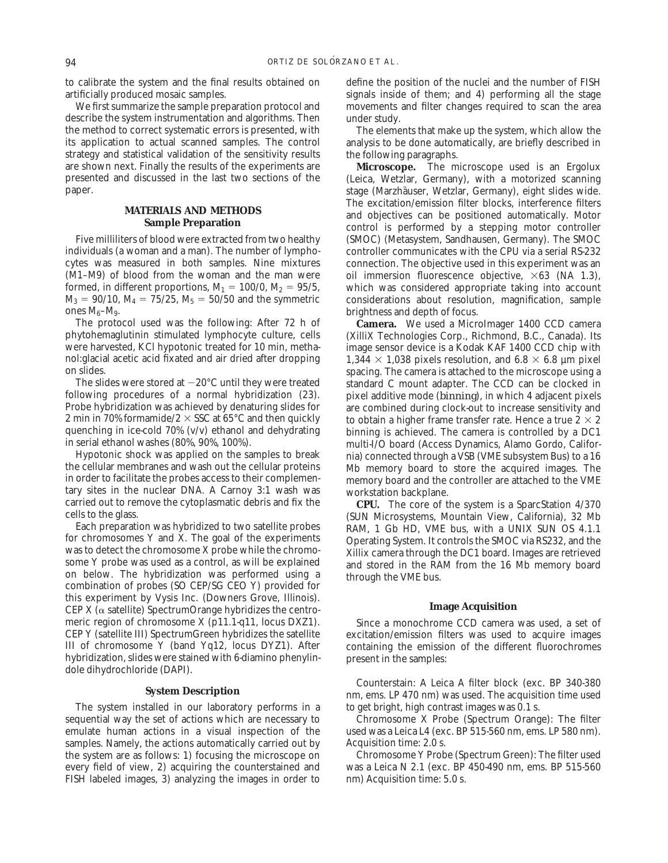to calibrate the system and the final results obtained on artificially produced mosaic samples.

We first summarize the sample preparation protocol and describe the system instrumentation and algorithms. Then the method to correct systematic errors is presented, with its application to actual scanned samples. The control strategy and statistical validation of the sensitivity results are shown next. Finally the results of the experiments are presented and discussed in the last two sections of the paper.

# **MATERIALS AND METHODS Sample Preparation**

Five milliliters of blood were extracted from two healthy individuals (a woman and a man). The number of lymphocytes was measured in both samples. Nine mixtures (M1–M9) of blood from the woman and the man were formed, in different proportions,  $M_1 = 100/0$ ,  $M_2 = 95/5$ ,  $M_3 = 90/10$ ,  $M_4 = 75/25$ ,  $M_5 = 50/50$  and the symmetric ones  $M_6$ – $M_9$ .

The protocol used was the following: After 72 h of phytohemaglutinin stimulated lymphocyte culture, cells were harvested, KCl hypotonic treated for 10 min, methanol:glacial acetic acid fixated and air dried after dropping on slides.

The slides were stored at  $-20^{\circ}$ C until they were treated following procedures of a normal hybridization (23). Probe hybridization was achieved by denaturing slides for 2 min in 70% formamide/2  $\times$  SSC at 65°C and then quickly quenching in ice-cold 70% (v/v) ethanol and dehydrating in serial ethanol washes (80%, 90%, 100%).

Hypotonic shock was applied on the samples to break the cellular membranes and wash out the cellular proteins in order to facilitate the probes access to their complementary sites in the nuclear DNA. A Carnoy 3:1 wash was carried out to remove the cytoplasmatic debris and fix the cells to the glass.

Each preparation was hybridized to two satellite probes for chromosomes Y and X. The goal of the experiments was to detect the chromosome X probe while the chromosome Y probe was used as a control, as will be explained on below. The hybridization was performed using a combination of probes (SO CEP/SG CEO Y) provided for this experiment by Vysis Inc. (Downers Grove, Illinois). CEP X ( $\alpha$  satellite) SpectrumOrange hybridizes the centromeric region of chromosome X (p11.1-q11, locus DXZ1). CEP Y (satellite III) SpectrumGreen hybridizes the satellite III of chromosome Y (band Yq12, locus DYZ1). After hybridization, slides were stained with 6-diamino phenylindole dihydrochloride (DAPI).

# **System Description**

The system installed in our laboratory performs in a sequential way the set of actions which are necessary to emulate human actions in a visual inspection of the samples. Namely, the actions automatically carried out by the system are as follows: 1) focusing the microscope on every field of view, 2) acquiring the counterstained and FISH labeled images, 3) analyzing the images in order to define the position of the nuclei and the number of FISH signals inside of them; and 4) performing all the stage movements and filter changes required to scan the area under study.

The elements that make up the system, which allow the analysis to be done automatically, are briefly described in the following paragraphs.

**Microscope.** The microscope used is an Ergolux (Leica, Wetzlar, Germany), with a motorized scanning stage (Marzhäuser, Wetzlar, Germany), eight slides wide. The excitation/emission filter blocks, interference filters and objectives can be positioned automatically. Motor control is performed by a stepping motor controller (SMOC) (Metasystem, Sandhausen, Germany). The SMOC controller communicates with the CPU via a serial RS-232 connection. The objective used in this experiment was an oil immersion fluorescence objective,  $\times 63$  (NA 1.3), which was considered appropriate taking into account considerations about resolution, magnification, sample brightness and depth of focus.

**Camera.** We used a MicroImager 1400 CCD camera (XilliX Technologies Corp., Richmond, B.C., Canada). Its image sensor device is a Kodak KAF 1400 CCD chip with  $1,344 \times 1,038$  pixels resolution, and 6.8  $\times$  6.8 µm pixel spacing. The camera is attached to the microscope using a standard C mount adapter. The CCD can be clocked in pixel additive mode (*binning*), in which 4 adjacent pixels are combined during clock-out to increase sensitivity and to obtain a higher frame transfer rate. Hence a true  $2 \times 2$ binning is achieved. The camera is controlled by a DC1 multi-I/O board (Access Dynamics, Alamo Gordo, California) connected through a VSB (VME subsystem Bus) to a 16 Mb memory board to store the acquired images. The memory board and the controller are attached to the VME workstation backplane.

**CPU.** The core of the system is a SparcStation 4/370 (SUN Microsystems, Mountain View, California), 32 Mb RAM, 1 Gb HD, VME bus, with a UNIX SUN OS 4.1.1 Operating System. It controls the SMOC via RS232, and the Xillix camera through the DC1 board. Images are retrieved and stored in the RAM from the 16 Mb memory board through the VME bus.

## **Image Acquisition**

Since a monochrome CCD camera was used, a set of excitation/emission filters was used to acquire images containing the emission of the different fluorochromes present in the samples:

Counterstain: A Leica A filter block (exc. BP 340-380 nm, ems. LP 470 nm) was used. The acquisition time used to get bright, high contrast images was 0.1 s.

Chromosome X Probe (Spectrum Orange): The filter used was a Leica L4 (exc. BP 515-560 nm, ems. LP 580 nm). Acquisition time: 2.0 s.

Chromosome Y Probe (Spectrum Green): The filter used was a Leica N 2.1 (exc. BP 450-490 nm, ems. BP 515-560 nm) Acquisition time: 5.0 s.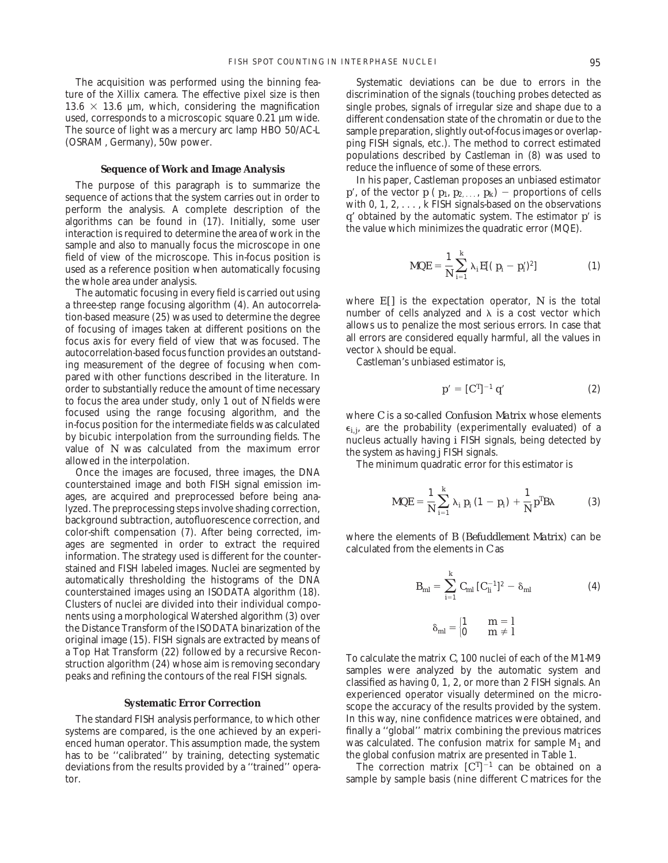The acquisition was performed using the binning feature of the Xillix camera. The effective pixel size is then  $13.6 \times 13.6$  µm, which, considering the magnification used, corresponds to a microscopic square 0.21 µm wide. The source of light was a mercury arc lamp HBO 50/AC-L (OSRAM , Germany), 50w power.

## **Sequence of Work and Image Analysis**

The purpose of this paragraph is to summarize the sequence of actions that the system carries out in order to perform the analysis. A complete description of the algorithms can be found in  $(17)$ . Initially, some user interaction is required to determine the area of work in the sample and also to manually focus the microscope in one field of view of the microscope. This in-focus position is used as a reference position when automatically focusing the whole area under analysis.

The automatic focusing in every field is carried out using a three-step range focusing algorithm (4). An autocorrelation-based measure (25) was used to determine the degree of focusing of images taken at different positions on the focus axis for every field of view that was focused. The autocorrelation-based focus function provides an outstanding measurement of the degree of focusing when compared with other functions described in the literature. In order to substantially reduce the amount of time necessary to focus the area under study, only 1 out of *N* fields were focused using the range focusing algorithm, and the in-focus position for the intermediate fields was calculated by bicubic interpolation from the surrounding fields. The value of *N* was calculated from the maximum error allowed in the interpolation.

Once the images are focused, three images, the DNA counterstained image and both FISH signal emission images, are acquired and preprocessed before being analyzed. The preprocessing steps involve shading correction, background subtraction, autofluorescence correction, and color-shift compensation (7). After being corrected, images are segmented in order to extract the required information. The strategy used is different for the counterstained and FISH labeled images. Nuclei are segmented by automatically thresholding the histograms of the DNA counterstained images using an ISODATA algorithm (18). Clusters of nuclei are divided into their individual components using a morphological Watershed algorithm (3) over the Distance Transform of the ISODATA binarization of the original image (15). FISH signals are extracted by means of a Top Hat Transform (22) followed by a recursive Reconstruction algorithm (24) whose aim is removing secondary peaks and refining the contours of the real FISH signals.

#### **Systematic Error Correction**

The standard FISH analysis performance, to which other systems are compared, is the one achieved by an experienced human operator. This assumption made, the system has to be ''calibrated'' by training, detecting systematic deviations from the results provided by a ''trained'' operator.

Systematic deviations can be due to errors in the discrimination of the signals (touching probes detected as single probes, signals of irregular size and shape due to a different condensation state of the chromatin or due to the sample preparation, slightly out-of-focus images or overlapping FISH signals, etc.). The method to correct estimated populations described by Castleman in (8) was used to reduce the influence of some of these errors.

In his paper, Castleman proposes an unbiased estimator  $p'$ , of the vector  $p$  ( $p_1, p_2, \ldots, p_k$ ) – proportions of cells with 0, 1, 2, . . . , k FISH signals-based on the observations  $q'$  obtained by the automatic system. The estimator  $p'$  is the value which minimizes the quadratic error (MQE).

$$
MQE = \frac{1}{N} \sum_{i=1}^{k} \lambda_i E[(p_i - p'_i)^2]
$$
 (1)

where  $E/J$  is the expectation operator,  $N$  is the total number of cells analyzed and  $\lambda$  is a cost vector which allows us to penalize the most serious errors. In case that all errors are considered equally harmful, all the values in vector  $\lambda$  should be equal.

Castleman's unbiased estimator is,

$$
p'=[C^T]^{-1} q'
$$
 (2)

where *C* is a so-called *Confusion Matrix* whose elements  $\epsilon_{i,k}$  are the probability (experimentally evaluated) of a nucleus actually having *i* FISH signals, being detected by the system as having *j* FISH signals.

The minimum quadratic error for this estimator is

$$
MQE = \frac{1}{N} \sum_{i=1}^{k} \lambda_i p_i (1 - p_i) + \frac{1}{N} p^T B \lambda
$$
 (3)

where the elements of *B* (*Befuddlement Matrix*) can be calculated from the elements in *C* as

$$
B_{ml} = \sum_{i=1}^{k} C_{ml} [C_{li}^{-1}]^{2} - \delta_{ml}
$$
\n
$$
\delta_{ml} = \begin{cases} 1 & m = I \\ 0 & m \neq I \end{cases}
$$
\n(4)

To calculate the matrix *C*, 100 nuclei of each of the M1-M9 samples were analyzed by the automatic system and classified as having 0, 1, 2, or more than 2 FISH signals. An experienced operator visually determined on the microscope the accuracy of the results provided by the system. In this way, nine confidence matrices were obtained, and finally a ''global'' matrix combining the previous matrices was calculated. The confusion matrix for sample  $M_1$  and the global confusion matrix are presented in Table 1.

The correction matrix  $[C^T]^{-1}$  can be obtained on a sample by sample basis (nine different *C* matrices for the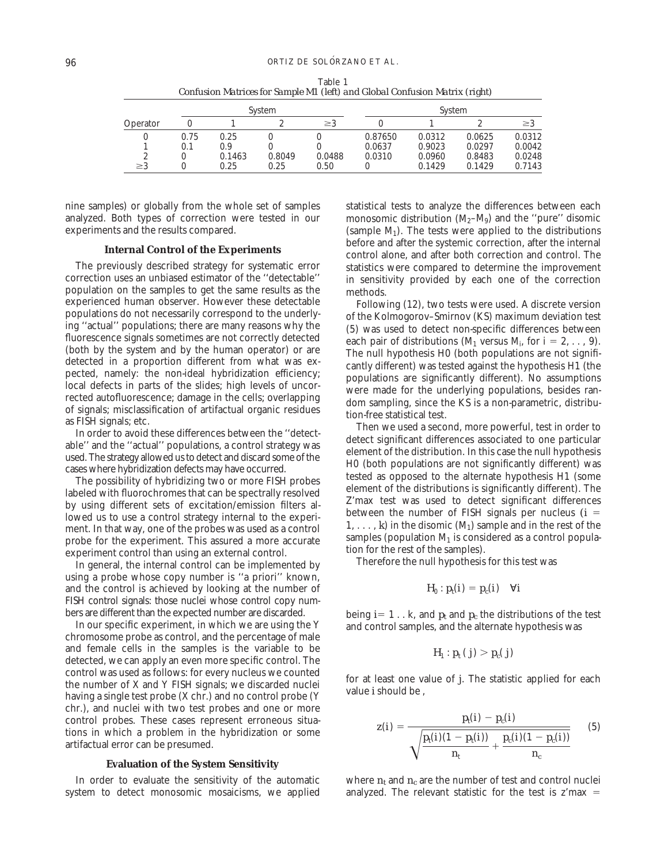|                 | <b>System</b> |        |        |          | <b>System</b> |        |        |          |
|-----------------|---------------|--------|--------|----------|---------------|--------|--------|----------|
| <b>Operator</b> |               |        |        | $\geq$ 3 |               |        |        | $\geq$ 3 |
| 0               | 0.75          | 0.25   |        |          | 0.87650       | 0.0312 | 0.0625 | 0.0312   |
|                 | $0.1\,$       | 0.9    |        |          | 0.0637        | 0.9023 | 0.0297 | 0.0042   |
| 2               |               | 0.1463 | 0.8049 | 0.0488   | 0.0310        | 0.0960 | 0.8483 | 0.0248   |
| $\geq$ 3        |               | 0.25   | 0.25   | 0.50     |               | 0.1429 | 0.1429 | 0.7143   |

Table 1 *Confusion Matrices for Sample M1 (left) and Global Confusion Matrix (right)*

nine samples) or globally from the whole set of samples analyzed. Both types of correction were tested in our experiments and the results compared.

# **Internal Control of the Experiments**

The previously described strategy for systematic error correction uses an unbiased estimator of the ''detectable'' population on the samples to get the same results as the experienced human observer. However these detectable populations do not necessarily correspond to the underlying ''actual'' populations; there are many reasons why the fluorescence signals sometimes are not correctly detected (both by the system and by the human operator) or are detected in a proportion different from what was expected, namely: the non-ideal hybridization efficiency; local defects in parts of the slides; high levels of uncorrected autofluorescence; damage in the cells; overlapping of signals; misclassification of artifactual organic residues as FISH signals; etc.

In order to avoid these differences between the ''detectable'' and the ''actual'' populations, a control strategy was used. The strategy allowed us to detect and discard some of the cases where hybridization defects may have occurred.

The possibility of hybridizing two or more FISH probes labeled with fluorochromes that can be spectrally resolved by using different sets of excitation/emission filters allowed us to use a control strategy internal to the experiment. In that way, one of the probes was used as a control probe for the experiment. This assured a more accurate experiment control than using an external control.

In general, the internal control can be implemented by using a probe whose copy number is ''a priori'' known, and the control is achieved by looking at the number of FISH control signals: those nuclei whose control copy numbers are different than the expected number are discarded.

In our specific experiment, in which we are using the Y chromosome probe as control, and the percentage of male and female cells in the samples is the variable to be detected, we can apply an even more specific control. The control was used as follows: for every nucleus we counted the number of X and Y FISH signals; we discarded nuclei having a single test probe (X chr.) and no control probe (Y chr.), and nuclei with two test probes and one or more control probes. These cases represent erroneous situations in which a problem in the hybridization or some artifactual error can be presumed.

#### **Evaluation of the System Sensitivity**

In order to evaluate the sensitivity of the automatic system to detect monosomic mosaicisms, we applied statistical tests to analyze the differences between each monosomic distribution  $(M_2-M_9)$  and the "pure" disomic (sample  $M_1$ ). The tests were applied to the distributions before and after the systemic correction, after the internal control alone, and after both correction and control. The statistics were compared to determine the improvement in sensitivity provided by each one of the correction methods.

Following (12), two tests were used. A discrete version of the Kolmogorov–Smirnov (KS) maximum deviation test (5) was used to detect non-specific differences between each pair of distributions ( $M_1$  versus  $M_i$ , for  $i = 2, \ldots, 9$ ). The null hypothesis H0 (both populations are not significantly different) was tested against the hypothesis H1 (the populations are significantly different). No assumptions were made for the underlying populations, besides random sampling, since the KS is a non-parametric, distribution-free statistical test.

Then we used a second, more powerful, test in order to detect significant differences associated to one particular element of the distribution. In this case the null hypothesis H0 (both populations are not significantly different) was tested as opposed to the alternate hypothesis H1 (some element of the distributions is significantly different). The Z'max test was used to detect significant differences between the number of FISH signals per nucleus  $(i =$ 1, ...,  $k$ ) in the disomic  $(M_1)$  sample and in the rest of the samples (population  $M_1$  is considered as a control population for the rest of the samples).

Therefore the null hypothesis for this test was

$$
H_0: p_t(i) = p_c(i) \quad \forall i
$$

being  $i=1$ ... k, and  $p_t$  and  $p_c$  the distributions of the test and control samples, and the alternate hypothesis was

$$
H_1: p_t(j) > p_c(j)
$$

for at least one value of *j*. The statistic applied for each value *i* should be ,

$$
z(i) = \frac{p_t(i) - p_c(i)}{\sqrt{\frac{p_t(i)(1 - p_t(i))}{n_t} + \frac{p_c(i)(1 - p_c(i))}{n_c}}}
$$
(5)

where  $n_t$  and  $n_c$  are the number of test and control nuclei analyzed. The relevant statistic for the test is  $z'$  max  $=$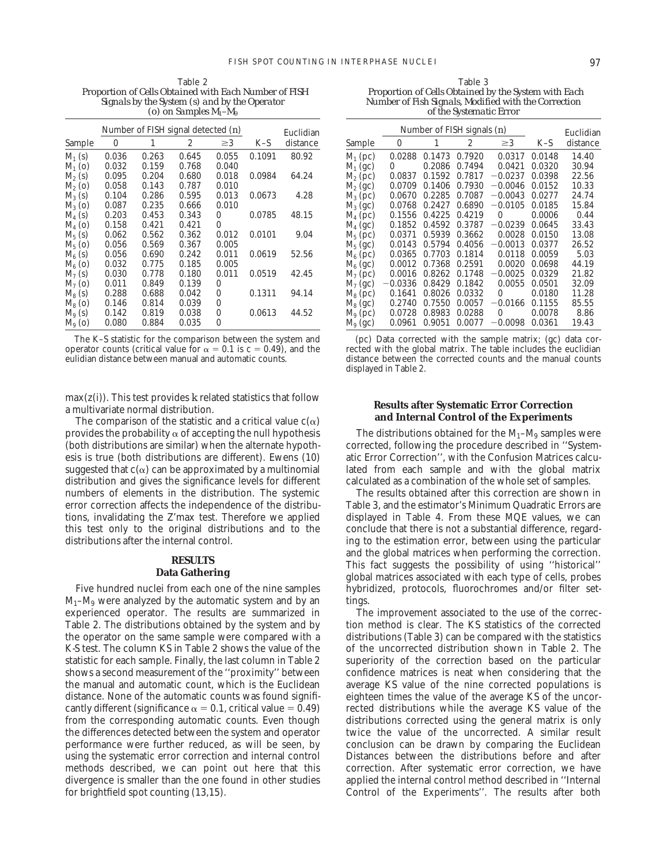Table 2 *Proportion of Cells Obtained with Each Number of FISH Signals by the System (s) and by the Operator*  $(o)$  on Samples  $M_1$ – $M_9$ 

|                 |          |       | Number of FISH signal detected $(n)$ |          |        | Euclidian |
|-----------------|----------|-------|--------------------------------------|----------|--------|-----------|
| Sample          | $\bf{0}$ | 1     | 2                                    | $\geq$ 3 | $K-S$  | distance  |
| $M_1(s)$        | 0.036    | 0.263 | 0.645                                | 0.055    | 0.1091 | 80.92     |
| $M_1$ (o)       | 0.032    | 0.159 | 0.768                                | 0.040    |        |           |
| $M_2$ (s)       | 0.095    | 0.204 | 0.680                                | 0.018    | 0.0984 | 64.24     |
| $M2$ (o)        | 0.058    | 0.143 | 0.787                                | 0.010    |        |           |
| $M_3$ (s)       | 0.104    | 0.286 | 0.595                                | 0.013    | 0.0673 | 4.28      |
| $M_3$ (o)       | 0.087    | 0.235 | 0.666                                | 0.010    |        |           |
| $M4$ (s)        | 0.203    | 0.453 | 0.343                                | 0        | 0.0785 | 48.15     |
| $M4$ (o)        | 0.158    | 0.421 | 0.421                                | 0        |        |           |
| $M5$ (s)        | 0.062    | 0.562 | 0.362                                | 0.012    | 0.0101 | 9.04      |
| $M5$ (o)        | 0.056    | 0.569 | 0.367                                | 0.005    |        |           |
| $M_6$ (s)       | 0.056    | 0.690 | 0.242                                | 0.011    | 0.0619 | 52.56     |
| $M6$ (o)        | 0.032    | 0.775 | 0.185                                | 0.005    |        |           |
| $M_7(s)$        | 0.030    | 0.778 | 0.180                                | 0.011    | 0.0519 | 42.45     |
| $M_7$ (o)       | 0.011    | 0.849 | 0.139                                | 0        |        |           |
| $M_{8}(s)$      | 0.288    | 0.688 | 0.042                                | 0        | 0.1311 | 94.14     |
| $M_{\rm R}$ (o) | 0.146    | 0.814 | 0.039                                | 0        |        |           |
| $M_q(s)$        | 0.142    | 0.819 | 0.038                                | 0        | 0.0613 | 44.52     |
| $M9$ (o)        | 0.080    | 0.884 | 0.035                                | 0        |        |           |

The K–S statistic for the comparison between the system and operator counts (critical value for  $\alpha = 0.1$  is  $c = 0.49$ ), and the eulidian distance between manual and automatic counts.

max(z(i)). This test provides *k* related statistics that follow a multivariate normal distribution.

The comparison of the statistic and a critical value  $c(\alpha)$ provides the probability  $\alpha$  of accepting the null hypothesis (both distributions are similar) when the alternate hypothesis is true (both distributions are different). Ewens (10) suggested that  $c(\alpha)$  can be approximated by a multinomial distribution and gives the significance levels for different numbers of elements in the distribution. The systemic error correction affects the independence of the distributions, invalidating the Z'max test. Therefore we applied this test only to the original distributions and to the distributions after the internal control.

# **RESULTS Data Gathering**

Five hundred nuclei from each one of the nine samples  $M_1-M_9$  were analyzed by the automatic system and by an experienced operator. The results are summarized in Table 2. The distributions obtained by the system and by the operator on the same sample were compared with a K-S test. The column KS in Table 2 shows the value of the statistic for each sample. Finally, the last column in Table 2 shows a second measurement of the ''proximity'' between the manual and automatic count, which is the Euclidean distance. None of the automatic counts was found significantly different (significance  $\alpha = 0.1$ , critical value = 0.49) from the corresponding automatic counts. Even though the differences detected between the system and operator performance were further reduced, as will be seen, by using the systematic error correction and internal control methods described, we can point out here that this divergence is smaller than the one found in other studies for brightfield spot counting (13,15).

Table 3 *Proportion of Cells Obtained by the System with Each Number of Fish Signals, Modified with the Correction of the Systematic Error*

| Number of FISH signals $(n)$ |        |        |        |           |        | Euclidian |
|------------------------------|--------|--------|--------|-----------|--------|-----------|
| Sample                       | 0      | 1      | 2      | $\geq$ 3  | $K-S$  | distance  |
| $M_1$ (pc)                   | 0.0288 | 0.1473 | 0.7920 | 0.0317    | 0.0148 | 14.40     |
| $M_1$ (gc)                   | 0      | 0.2086 | 0.7494 | 0.0421    | 0.0320 | 30.94     |
| $M_2$ (pc)                   | 0.0837 | 0.1592 | 0.7817 | $-0.0237$ | 0.0398 | 22.56     |
| $M_2$ (gc)                   | 0.0709 | 0.1406 | 0.7930 | $-0.0046$ | 0.0152 | 10.33     |
| $M_3$ (pc)                   | 0.0670 | 0.2285 | 0.7087 | $-0.0043$ | 0.0277 | 24.74     |
| $M_3$ (gc)                   | 0.0768 | 0.2427 | 0.6890 | $-0.0105$ | 0.0185 | 15.84     |
| $M_4$ (pc)                   | 0.1556 | 0.4225 | 0.4219 | $\bf{0}$  | 0.0006 | 0.44      |
| $M_4$ (gc)                   | 0.1852 | 0.4592 | 0.3787 | $-0.0239$ | 0.0645 | 33.43     |
| $M_5$ (pc)                   | 0.0371 | 0.5939 | 0.3662 | 0.0028    | 0.0150 | 13.08     |
| $M_5$ (gc)                   | 0.0143 | 0.5794 | 0.4056 | $-0.0013$ | 0.0377 | 26.52     |
| $M_6$ (pc)                   | 0.0365 | 0.7703 | 0.1814 | 0.0118    | 0.0059 | 5.03      |
| $M_6$ (gc)                   | 0.0012 | 0.7368 | 0.2591 | 0.0020    | 0.0698 | 44.19     |
| $M_7$ (pc)                   | 0.0016 | 0.8262 | 0.1748 | 0.0025    | 0.0329 | 21.82     |
| $M_7$ (gc)                   | 0.0336 | 0.8429 | 0.1842 | 0.0055    | 0.0501 | 32.09     |
| $M_8$ (pc)                   | 0.1641 | 0.8026 | 0.0332 | 0         | 0.0180 | 11.28     |
| $M_8$ (gc)                   | 0.2740 | 0.7550 | 0.0057 | 0.0166    | 0.1155 | 85.55     |
| $M_9$ (pc)                   | 0.0728 | 0.8983 | 0.0288 | $\bf{0}$  | 0.0078 | 8.86      |
| $M_9$ (gc)                   | 0.0961 | 0.9051 | 0.0077 | 0.0098    | 0.0361 | 19.43     |

(pc) Data corrected with the sample matrix; (gc) data corrected with the global matrix. The table includes the euclidian distance between the corrected counts and the manual counts displayed in Table 2.

# **Results after Systematic Error Correction and Internal Control of the Experiments**

The distributions obtained for the  $M_1-M_9$  samples were corrected, following the procedure described in ''Systematic Error Correction'', with the Confusion Matrices calculated from each sample and with the global matrix calculated as a combination of the whole set of samples.

The results obtained after this correction are shown in Table 3, and the estimator's Minimum Quadratic Errors are displayed in Table 4. From these MQE values, we can conclude that there is not a substantial difference, regarding to the estimation error, between using the particular and the global matrices when performing the correction. This fact suggests the possibility of using ''historical'' global matrices associated with each type of cells, probes hybridized, protocols, fluorochromes and/or filter settings.

The improvement associated to the use of the correction method is clear. The KS statistics of the corrected distributions (Table 3) can be compared with the statistics of the uncorrected distribution shown in Table 2. The superiority of the correction based on the particular confidence matrices is neat when considering that the average KS value of the nine corrected populations is eighteen times the value of the average KS of the uncorrected distributions while the average KS value of the distributions corrected using the general matrix is only twice the value of the uncorrected. A similar result conclusion can be drawn by comparing the Euclidean Distances between the distributions before and after correction. After systematic error correction, we have applied the internal control method described in ''Internal Control of the Experiments''. The results after both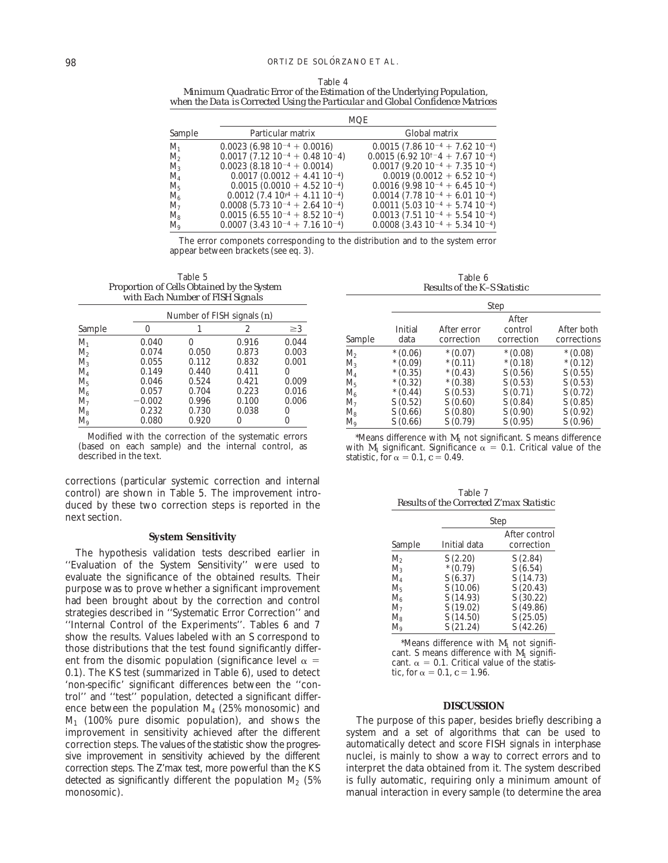Table 4 *Minimum Quadratic Error of the Estimation of the Underlying Population, when the Data is Corrected Using the Particular and Global Confidence Matrices*

|                | <b>MQE</b>                                  |                                             |  |  |  |
|----------------|---------------------------------------------|---------------------------------------------|--|--|--|
| Sample         | Particular matrix                           | Global matrix                               |  |  |  |
| $M_1$          | $0.0023(6.9810^{-4} + 0.0016)$              | $0.0015(7.8610^{-4} + 7.6210^{-4})$         |  |  |  |
| $M_{2}$        | $0.0017(7.1210^{-4} + 0.4810^{-4})$         | $0.0015~(6.92~10^{+1} + 7.67~10^{-4})$      |  |  |  |
| $M_{3}$        | $0.0023(8.1810^{-4} + 0.0014)$              | $0.0017~(9.20~10^{-4} + 7.35~10^{-4})$      |  |  |  |
| $M_4$          | $0.0017(0.0012 + 4.4110^{-4})$              | $0.0019(0.0012+6.5210^{-4})$                |  |  |  |
| M <sub>5</sub> | $0.0015(0.0010 + 4.5210^{-4})$              | $0.0016~(9.98~10^{-4} + 6.45~10^{-4})$      |  |  |  |
| $M_{6}$        | $0.0012(7.4104 + 4.1110-4)$                 | $0.0014$ (7.78 $10^{-4}$ + 6.01 $10^{-4}$ ) |  |  |  |
| M <sub>7</sub> | $0.0008$ (5.73 $10^{-4}$ + 2.64 $10^{-4}$ ) | $0.0011~(5.03~10^{-4}+5.74~10^{-4})$        |  |  |  |
| $M_{\rm R}$    | $0.0015~(6.55~10^{-4} + 8.52~10^{-4})$      | $0.0013(7.5110^{-4} + 5.5410^{-4})$         |  |  |  |
| $M_{9}$        | $0.0007~(3.43~10^{-4} + 7.16~10^{-4})$      | $0.0008$ (3.43 $10^{-4}$ + 5.34 $10^{-4}$ ) |  |  |  |

The error componets corresponding to the distribution and to the system error appear between brackets (see eq. 3).

Table 5 *Proportion of Cells Obtained by the System with Each Number of FISH Signals*

|                | Number of FISH signals $(n)$ |       |       |          |  |
|----------------|------------------------------|-------|-------|----------|--|
| Sample         | 0                            |       | 2     | $\geq$ 3 |  |
| $M_1$          | 0.040                        | 0     | 0.916 | 0.044    |  |
| $M_{2}$        | 0.074                        | 0.050 | 0.873 | 0.003    |  |
| $M_3$          | 0.055                        | 0.112 | 0.832 | 0.001    |  |
| $\mathbf{M}_4$ | 0.149                        | 0.440 | 0.411 | 0        |  |
| M <sub>5</sub> | 0.046                        | 0.524 | 0.421 | 0.009    |  |
| $M_6$          | 0.057                        | 0.704 | 0.223 | 0.016    |  |
| M <sub>7</sub> | $-0.002$                     | 0.996 | 0.100 | 0.006    |  |
| $M_{8}$        | 0.232                        | 0.730 | 0.038 | 0        |  |
| M <sub>o</sub> | 0.080                        | 0.920 | 0     | 0        |  |

Modified with the correction of the systematic errors (based on each sample) and the internal control, as described in the text.

corrections (particular systemic correction and internal control) are shown in Table 5. The improvement introduced by these two correction steps is reported in the next section.

#### **System Sensitivity**

The hypothesis validation tests described earlier in ''Evaluation of the System Sensitivity'' were used to evaluate the significance of the obtained results. Their purpose was to prove whether a significant improvement had been brought about by the correction and control strategies described in ''Systematic Error Correction'' and ''Internal Control of the Experiments''. Tables 6 and 7 show the results. Values labeled with an S correspond to those distributions that the test found significantly different from the disomic population (significance level  $\alpha =$ 0.1). The KS test (summarized in Table 6), used to detect 'non-specific' significant differences between the ''control'' and ''test'' population, detected a significant difference between the population  $M<sub>4</sub>$  (25% monosomic) and  $M_1$  (100% pure disomic population), and shows the improvement in sensitivity achieved after the different correction steps. The values of the statistic show the progressive improvement in sensitivity achieved by the different correction steps. The Z'max test, more powerful than the KS detected as significantly different the population  $M_2$  (5% monosomic).

| Table 6                      |
|------------------------------|
| Results of the K-S Statistic |

|                | <b>Step</b>            |                           |                                |                           |  |  |
|----------------|------------------------|---------------------------|--------------------------------|---------------------------|--|--|
| Sample         | <b>Initial</b><br>data | After error<br>correction | After<br>control<br>correction | After both<br>corrections |  |  |
| $M_{2}$        | $*(0.06)$              | $*(0.07)$                 | $*(0.08)$                      | $*(0.08)$                 |  |  |
| $M_3$          | $*(0.09)$              | $*(0.11)$                 | $*(0.18)$                      | $*(0.12)$                 |  |  |
| $\rm M_4$      | $*$ (0.35)             | $*(0.43)$                 | S(0.56)                        | S(0.55)                   |  |  |
| M <sub>5</sub> | $*(0.32)$              | $*(0.38)$                 | S(0.53)                        | S(0.53)                   |  |  |
| $M_6$          | $*(0.44)$              | S(0.53)                   | S(0.71)                        | S(0.72)                   |  |  |
| M <sub>7</sub> | S(0.52)                | S(0.60)                   | S(0.84)                        | S(0.85)                   |  |  |
| $M_{8}$        | S(0.66)                | S(0.80)                   | S(0.90)                        | S(0.92)                   |  |  |
| $M_{9}$        | S(0.66)                | S(0.79)                   | S(0.95)                        | S(0.96)                   |  |  |

\*Means difference with  $M_1$  not significant. S means difference with  $M_1$  significant. Significance  $\alpha = 0.1$ . Critical value of the statistic, for  $\alpha = 0.1$ ,  $c = 0.49$ .

| Table 7                                  |
|------------------------------------------|
| Results of the Corrected Z'max Statistic |
|                                          |

|                |                     | <b>Step</b>                 |  |
|----------------|---------------------|-----------------------------|--|
| <b>Sample</b>  | <b>Initial data</b> | After control<br>correction |  |
| M,             | S(2.20)             | S(2.84)                     |  |
| $M_{3}$        | $*(0.79)$           | S(6.54)                     |  |
| $\mathbf{M}_4$ | S(6.37)             | S(14.73)                    |  |
| $M_{5}$        | S(10.06)            | S(20.43)                    |  |
| $M_{\rm g}$    | S(14.93)            | S(30.22)                    |  |
| M <sub>7</sub> | S(19.02)            | S(49.86)                    |  |
| $M_{\rm R}$    | S(14.50)            | S(25.05)                    |  |
| $M_{q}$        | S(21.24)            | S(42.26)                    |  |

\*Means difference with  $M_1$  not significant. S means difference with  $M_1$  significant.  $\alpha = 0.1$ . Critical value of the statistic, for  $\alpha = 0.1, c = 1.96$ .

#### **DISCUSSION**

The purpose of this paper, besides briefly describing a system and a set of algorithms that can be used to automatically detect and score FISH signals in interphase nuclei, is mainly to show a way to correct errors and to interpret the data obtained from it. The system described is fully automatic, requiring only a minimum amount of manual interaction in every sample (to determine the area